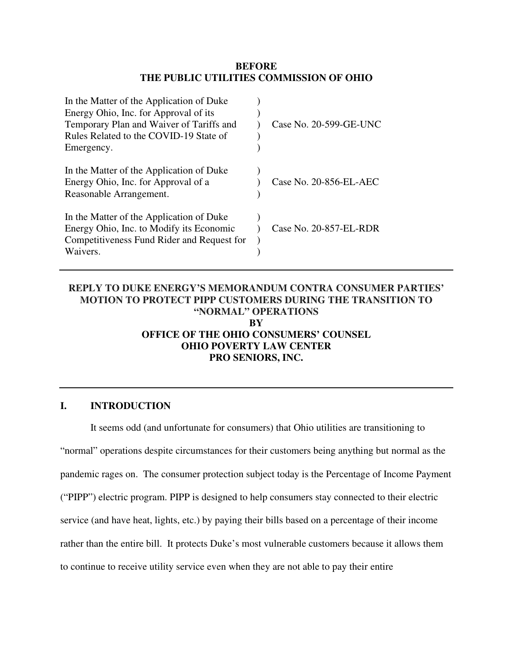## **BEFORE THE PUBLIC UTILITIES COMMISSION OF OHIO**

| In the Matter of the Application of Duke<br>Energy Ohio, Inc. for Approval of its |                        |
|-----------------------------------------------------------------------------------|------------------------|
| Temporary Plan and Waiver of Tariffs and                                          | Case No. 20-599-GE-UNC |
| Rules Related to the COVID-19 State of                                            |                        |
| Emergency.                                                                        |                        |
| In the Matter of the Application of Duke                                          |                        |
| Energy Ohio, Inc. for Approval of a                                               | Case No. 20-856-EL-AEC |
| Reasonable Arrangement.                                                           |                        |
| In the Matter of the Application of Duke                                          |                        |
| Energy Ohio, Inc. to Modify its Economic                                          | Case No. 20-857-EL-RDR |
| Competitiveness Fund Rider and Request for                                        |                        |
| Waivers.                                                                          |                        |

## **REPLY TO DUKE ENERGY'S MEMORANDUM CONTRA CONSUMER PARTIES' MOTION TO PROTECT PIPP CUSTOMERS DURING THE TRANSITION TO "NORMAL" OPERATIONS BY OFFICE OF THE OHIO CONSUMERS' COUNSEL OHIO POVERTY LAW CENTER PRO SENIORS, INC.**

## **I. INTRODUCTION**

It seems odd (and unfortunate for consumers) that Ohio utilities are transitioning to "normal" operations despite circumstances for their customers being anything but normal as the pandemic rages on. The consumer protection subject today is the Percentage of Income Payment ("PIPP") electric program. PIPP is designed to help consumers stay connected to their electric service (and have heat, lights, etc.) by paying their bills based on a percentage of their income rather than the entire bill. It protects Duke's most vulnerable customers because it allows them to continue to receive utility service even when they are not able to pay their entire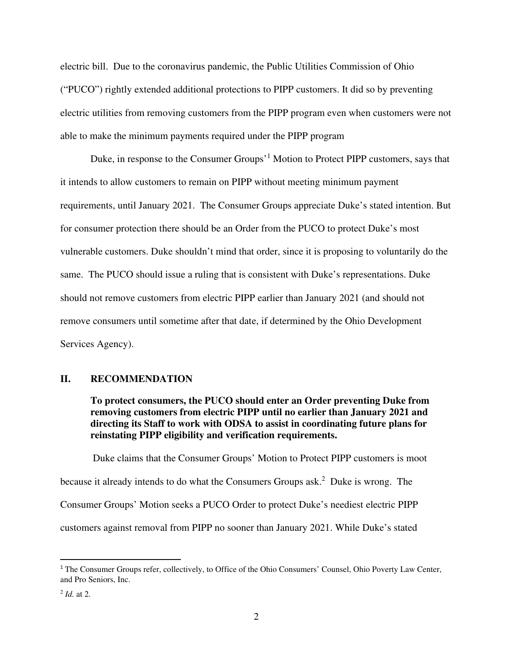electric bill. Due to the coronavirus pandemic, the Public Utilities Commission of Ohio ("PUCO") rightly extended additional protections to PIPP customers. It did so by preventing electric utilities from removing customers from the PIPP program even when customers were not able to make the minimum payments required under the PIPP program

Duke, in response to the Consumer Groups<sup>'1</sup> Motion to Protect PIPP customers, says that it intends to allow customers to remain on PIPP without meeting minimum payment requirements, until January 2021. The Consumer Groups appreciate Duke's stated intention. But for consumer protection there should be an Order from the PUCO to protect Duke's most vulnerable customers. Duke shouldn't mind that order, since it is proposing to voluntarily do the same. The PUCO should issue a ruling that is consistent with Duke's representations. Duke should not remove customers from electric PIPP earlier than January 2021 (and should not remove consumers until sometime after that date, if determined by the Ohio Development Services Agency).

## **II. RECOMMENDATION**

**To protect consumers, the PUCO should enter an Order preventing Duke from removing customers from electric PIPP until no earlier than January 2021 and directing its Staff to work with ODSA to assist in coordinating future plans for reinstating PIPP eligibility and verification requirements.** 

 Duke claims that the Consumer Groups' Motion to Protect PIPP customers is moot because it already intends to do what the Consumers Groups ask.<sup>2</sup> Duke is wrong. The Consumer Groups' Motion seeks a PUCO Order to protect Duke's neediest electric PIPP customers against removal from PIPP no sooner than January 2021. While Duke's stated

<sup>&</sup>lt;sup>1</sup> The Consumer Groups refer, collectively, to Office of the Ohio Consumers' Counsel, Ohio Poverty Law Center, and Pro Seniors, Inc.

<sup>2</sup> *Id.* at 2.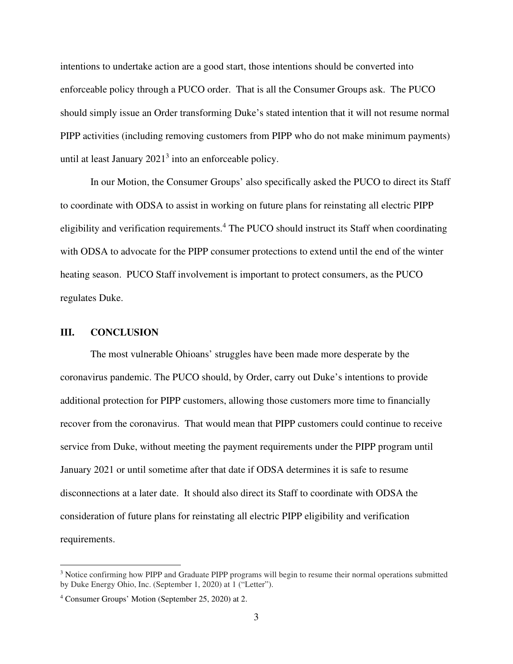intentions to undertake action are a good start, those intentions should be converted into enforceable policy through a PUCO order. That is all the Consumer Groups ask. The PUCO should simply issue an Order transforming Duke's stated intention that it will not resume normal PIPP activities (including removing customers from PIPP who do not make minimum payments) until at least January  $2021<sup>3</sup>$  into an enforceable policy.

In our Motion, the Consumer Groups' also specifically asked the PUCO to direct its Staff to coordinate with ODSA to assist in working on future plans for reinstating all electric PIPP eligibility and verification requirements.<sup>4</sup> The PUCO should instruct its Staff when coordinating with ODSA to advocate for the PIPP consumer protections to extend until the end of the winter heating season. PUCO Staff involvement is important to protect consumers, as the PUCO regulates Duke.

## **III. CONCLUSION**

The most vulnerable Ohioans' struggles have been made more desperate by the coronavirus pandemic. The PUCO should, by Order, carry out Duke's intentions to provide additional protection for PIPP customers, allowing those customers more time to financially recover from the coronavirus. That would mean that PIPP customers could continue to receive service from Duke, without meeting the payment requirements under the PIPP program until January 2021 or until sometime after that date if ODSA determines it is safe to resume disconnections at a later date. It should also direct its Staff to coordinate with ODSA the consideration of future plans for reinstating all electric PIPP eligibility and verification requirements.

<sup>&</sup>lt;sup>3</sup> Notice confirming how PIPP and Graduate PIPP programs will begin to resume their normal operations submitted by Duke Energy Ohio, Inc. (September 1, 2020) at 1 ("Letter").

<sup>4</sup> Consumer Groups' Motion (September 25, 2020) at 2.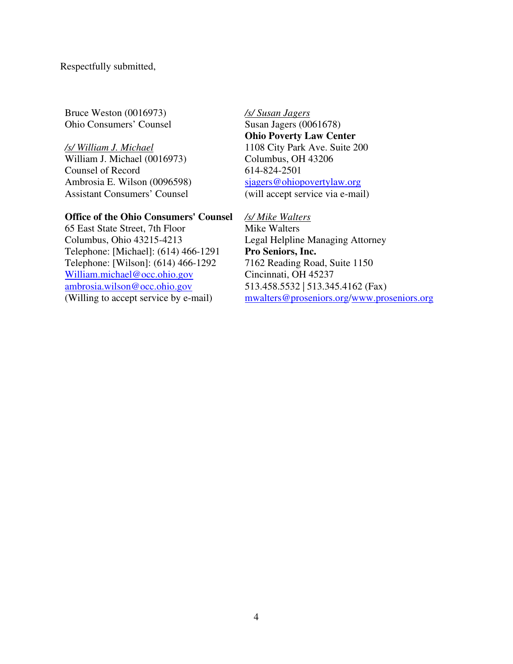Respectfully submitted,

Bruce Weston (0016973) Ohio Consumers' Counsel

## */s/ William J. Michael*

William J. Michael (0016973) Counsel of Record Ambrosia E. Wilson (0096598) Assistant Consumers' Counsel

#### **Office of the Ohio Consumers' Counsel**

65 East State Street, 7th Floor Columbus, Ohio 43215-4213 Telephone: [Michael]: (614) 466-1291 Telephone: [Wilson]: (614) 466-1292 William.michael@occ.ohio.gov ambrosia.wilson@occ.ohio.gov (Willing to accept service by e-mail)

*/s/ Susan Jagers*  Susan Jagers (0061678) **Ohio Poverty Law Center**  1108 City Park Ave. Suite 200 Columbus, OH 43206 614-824-2501 sjagers@ohiopovertylaw.org (will accept service via e-mail)

*/s/ Mike Walters*  Mike Walters Legal Helpline Managing Attorney **Pro Seniors, Inc.** 7162 Reading Road, Suite 1150 Cincinnati, OH 45237 513.458.5532 | 513.345.4162 (Fax) mwalters@proseniors.org/www.proseniors.org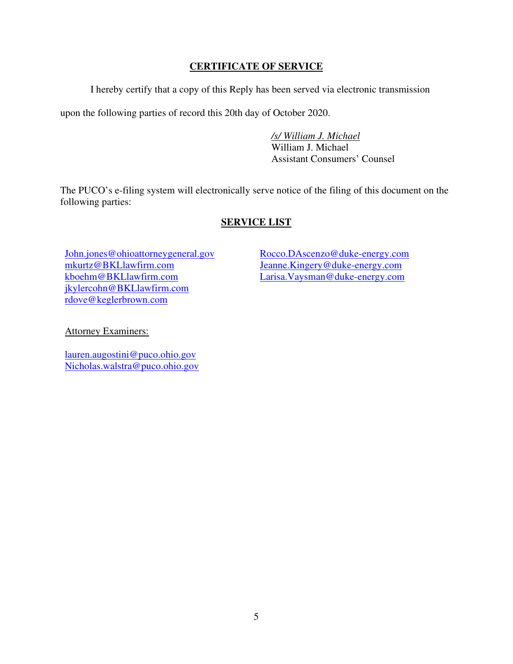## **CERTIFICATE OF SERVICE**

I hereby certify that a copy of this Reply has been served via electronic transmission

upon the following parties of record this 20th day of October 2020.

 */s/ William J. Michael*  William J. Michael Assistant Consumers' Counsel

The PUCO's e-filing system will electronically serve notice of the filing of this document on the following parties:

# **SERVICE LIST**

John.jones@ohioattorneygeneral.gov mkurtz@BKLlawfirm.com kboehm@BKLlawfirm.com jkylercohn@BKLlawfirm.com rdove@keglerbrown.com

Rocco.DAscenzo@duke-energy.com Jeanne.Kingery@duke-energy.com Larisa.Vaysman@duke-energy.com

Attorney Examiners:

lauren.augostini@puco.ohio.gov Nicholas.walstra@puco.ohio.gov